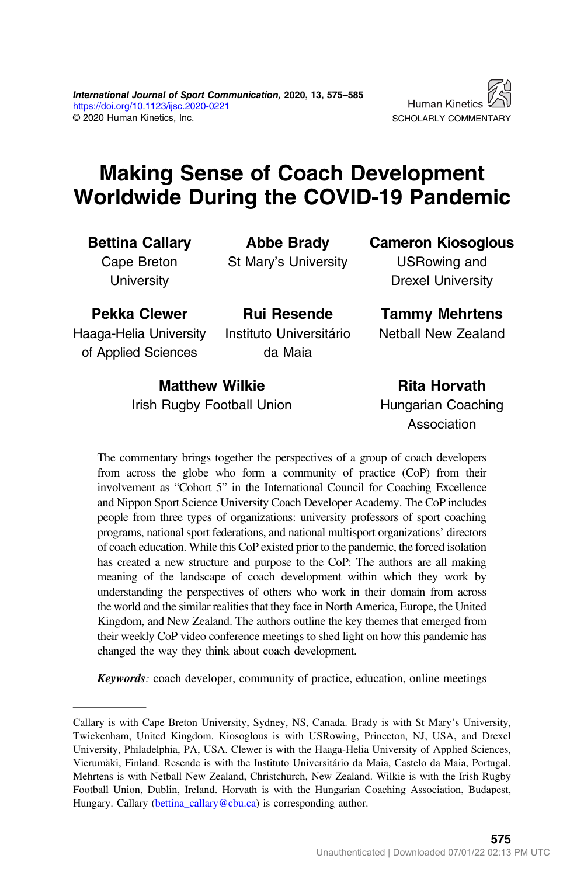

# Making Sense of Coach Development Worldwide During the COVID-19 Pandemic

Bettina Callary

Cape Breton **University** 

Abbe Brady St Mary's University

Cameron Kiosoglous

USRowing and Drexel University

Pekka Clewer Haaga-Helia University

of Applied Sciences

Instituto Universitário da Maia

Rui Resende

Tammy Mehrtens

Netball New Zealand

Matthew Wilkie Irish Rugby Football Union

Rita Horvath Hungarian Coaching Association

The commentary brings together the perspectives of a group of coach developers from across the globe who form a community of practice (CoP) from their involvement as "Cohort 5" in the International Council for Coaching Excellence and Nippon Sport Science University Coach Developer Academy. The CoP includes people from three types of organizations: university professors of sport coaching programs, national sport federations, and national multisport organizations' directors of coach education. While this CoP existed prior to the pandemic, the forced isolation has created a new structure and purpose to the CoP: The authors are all making meaning of the landscape of coach development within which they work by understanding the perspectives of others who work in their domain from across the world and the similar realities that they face in North America, Europe, the United Kingdom, and New Zealand. The authors outline the key themes that emerged from their weekly CoP video conference meetings to shed light on how this pandemic has changed the way they think about coach development.

Keywords: coach developer, community of practice, education, online meetings

Callary is with Cape Breton University, Sydney, NS, Canada. Brady is with St Mary's University, Twickenham, United Kingdom. Kiosoglous is with USRowing, Princeton, NJ, USA, and Drexel University, Philadelphia, PA, USA. Clewer is with the Haaga-Helia University of Applied Sciences, Vierumäki, Finland. Resende is with the Instituto Universitário da Maia, Castelo da Maia, Portugal. Mehrtens is with Netball New Zealand, Christchurch, New Zealand. Wilkie is with the Irish Rugby Football Union, Dublin, Ireland. Horvath is with the Hungarian Coaching Association, Budapest, Hungary. Callary ([bettina\\_callary@cbu.ca](mailto:bettina_callary@cbu.ca)) is corresponding author.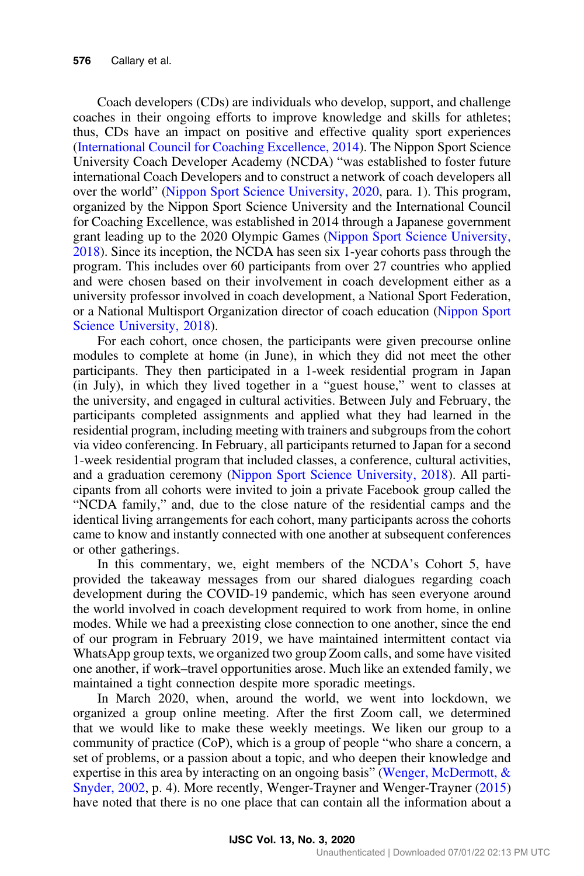Coach developers (CDs) are individuals who develop, support, and challenge coaches in their ongoing efforts to improve knowledge and skills for athletes; thus, CDs have an impact on positive and effective quality sport experiences [\(International Council for Coaching Excellence, 2014\)](#page-10-0). The Nippon Sport Science University Coach Developer Academy (NCDA) "was established to foster future international Coach Developers and to construct a network of coach developers all over the world" ([Nippon Sport Science University, 2020](#page-10-0), para. 1). This program, organized by the Nippon Sport Science University and the International Council for Coaching Excellence, was established in 2014 through a Japanese government grant leading up to the 2020 Olympic Games ([Nippon Sport Science University,](#page-10-0) [2018](#page-10-0)). Since its inception, the NCDA has seen six 1-year cohorts pass through the program. This includes over 60 participants from over 27 countries who applied and were chosen based on their involvement in coach development either as a university professor involved in coach development, a National Sport Federation, or a National Multisport Organization director of coach education ([Nippon Sport](#page-10-0) [Science University, 2018\)](#page-10-0).

For each cohort, once chosen, the participants were given precourse online modules to complete at home (in June), in which they did not meet the other participants. They then participated in a 1-week residential program in Japan (in July), in which they lived together in a "guest house," went to classes at the university, and engaged in cultural activities. Between July and February, the participants completed assignments and applied what they had learned in the residential program, including meeting with trainers and subgroups from the cohort via video conferencing. In February, all participants returned to Japan for a second 1-week residential program that included classes, a conference, cultural activities, and a graduation ceremony [\(Nippon Sport Science University, 2018](#page-10-0)). All participants from all cohorts were invited to join a private Facebook group called the "NCDA family," and, due to the close nature of the residential camps and the identical living arrangements for each cohort, many participants across the cohorts came to know and instantly connected with one another at subsequent conferences or other gatherings.

In this commentary, we, eight members of the NCDA's Cohort 5, have provided the takeaway messages from our shared dialogues regarding coach development during the COVID-19 pandemic, which has seen everyone around the world involved in coach development required to work from home, in online modes. While we had a preexisting close connection to one another, since the end of our program in February 2019, we have maintained intermittent contact via WhatsApp group texts, we organized two group Zoom calls, and some have visited one another, if work–travel opportunities arose. Much like an extended family, we maintained a tight connection despite more sporadic meetings.

In March 2020, when, around the world, we went into lockdown, we organized a group online meeting. After the first Zoom call, we determined that we would like to make these weekly meetings. We liken our group to a community of practice (CoP), which is a group of people "who share a concern, a set of problems, or a passion about a topic, and who deepen their knowledge and expertise in this area by interacting on an ongoing basis" (Wenger, McDermott,  $\&$ [Snyder, 2002](#page-10-0), p. 4). More recently, Wenger-Trayner and Wenger-Trayner ([2015\)](#page-10-0) have noted that there is no one place that can contain all the information about a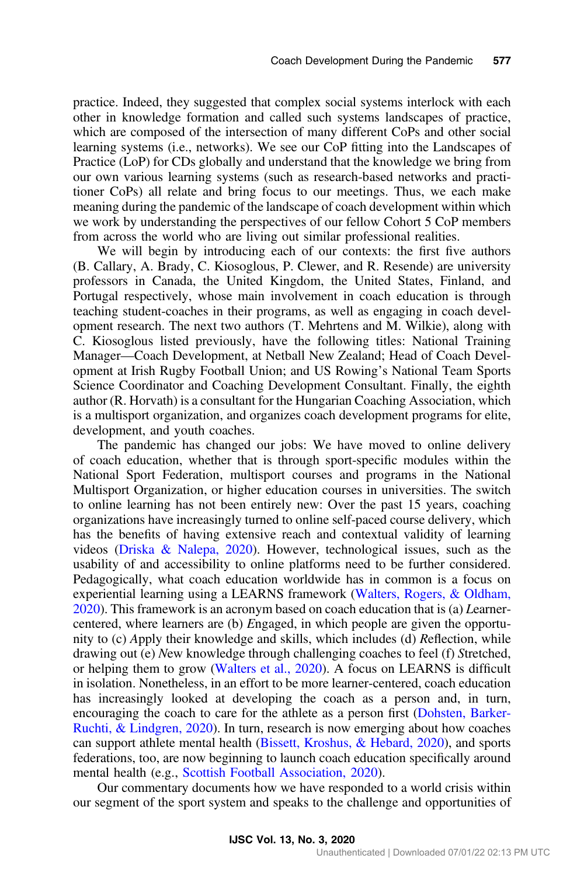practice. Indeed, they suggested that complex social systems interlock with each other in knowledge formation and called such systems landscapes of practice, which are composed of the intersection of many different CoPs and other social learning systems (i.e., networks). We see our CoP fitting into the Landscapes of Practice (LoP) for CDs globally and understand that the knowledge we bring from our own various learning systems (such as research-based networks and practitioner CoPs) all relate and bring focus to our meetings. Thus, we each make meaning during the pandemic of the landscape of coach development within which we work by understanding the perspectives of our fellow Cohort 5 CoP members from across the world who are living out similar professional realities.

We will begin by introducing each of our contexts: the first five authors (B. Callary, A. Brady, C. Kiosoglous, P. Clewer, and R. Resende) are university professors in Canada, the United Kingdom, the United States, Finland, and Portugal respectively, whose main involvement in coach education is through teaching student-coaches in their programs, as well as engaging in coach development research. The next two authors (T. Mehrtens and M. Wilkie), along with C. Kiosoglous listed previously, have the following titles: National Training Manager—Coach Development, at Netball New Zealand; Head of Coach Development at Irish Rugby Football Union; and US Rowing's National Team Sports Science Coordinator and Coaching Development Consultant. Finally, the eighth author (R. Horvath) is a consultant for the Hungarian Coaching Association, which is a multisport organization, and organizes coach development programs for elite, development, and youth coaches.

The pandemic has changed our jobs: We have moved to online delivery of coach education, whether that is through sport-specific modules within the National Sport Federation, multisport courses and programs in the National Multisport Organization, or higher education courses in universities. The switch to online learning has not been entirely new: Over the past 15 years, coaching organizations have increasingly turned to online self-paced course delivery, which has the benefits of having extensive reach and contextual validity of learning videos ([Driska & Nalepa, 2020\)](#page-10-0). However, technological issues, such as the usability of and accessibility to online platforms need to be further considered. Pedagogically, what coach education worldwide has in common is a focus on experiential learning using a LEARNS framework ([Walters, Rogers, & Oldham,](#page-10-0) [2020](#page-10-0)). This framework is an acronym based on coach education that is (a) Learnercentered, where learners are (b) Engaged, in which people are given the opportunity to (c) Apply their knowledge and skills, which includes (d) Reflection, while drawing out (e) New knowledge through challenging coaches to feel (f) Stretched, or helping them to grow ([Walters et al., 2020](#page-10-0)). A focus on LEARNS is difficult in isolation. Nonetheless, in an effort to be more learner-centered, coach education has increasingly looked at developing the coach as a person and, in turn, encouraging the coach to care for the athlete as a person first ([Dohsten, Barker-](#page-10-0)[Ruchti, & Lindgren, 2020](#page-10-0)). In turn, research is now emerging about how coaches can support athlete mental health ([Bissett, Kroshus, & Hebard, 2020](#page-9-0)), and sports federations, too, are now beginning to launch coach education specifically around mental health (e.g., [Scottish Football Association, 2020](#page-10-0)).

Our commentary documents how we have responded to a world crisis within our segment of the sport system and speaks to the challenge and opportunities of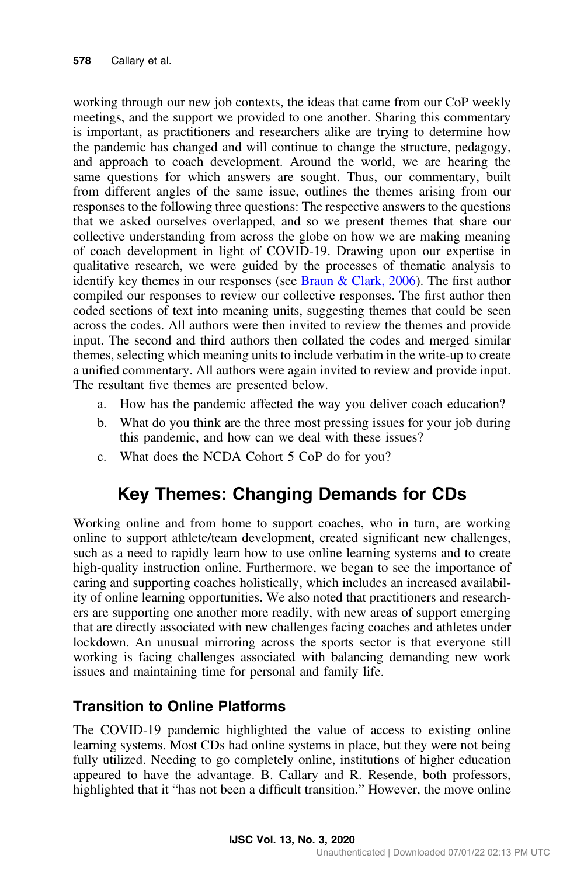working through our new job contexts, the ideas that came from our CoP weekly meetings, and the support we provided to one another. Sharing this commentary is important, as practitioners and researchers alike are trying to determine how the pandemic has changed and will continue to change the structure, pedagogy, and approach to coach development. Around the world, we are hearing the same questions for which answers are sought. Thus, our commentary, built from different angles of the same issue, outlines the themes arising from our responses to the following three questions: The respective answers to the questions that we asked ourselves overlapped, and so we present themes that share our collective understanding from across the globe on how we are making meaning of coach development in light of COVID-19. Drawing upon our expertise in qualitative research, we were guided by the processes of thematic analysis to identify key themes in our responses (see Braun  $& Clark, 2006$ ). The first author compiled our responses to review our collective responses. The first author then coded sections of text into meaning units, suggesting themes that could be seen across the codes. All authors were then invited to review the themes and provide input. The second and third authors then collated the codes and merged similar themes, selecting which meaning units to include verbatim in the write-up to create a unified commentary. All authors were again invited to review and provide input. The resultant five themes are presented below.

- a. How has the pandemic affected the way you deliver coach education?
- b. What do you think are the three most pressing issues for your job during this pandemic, and how can we deal with these issues?
- c. What does the NCDA Cohort 5 CoP do for you?

## Key Themes: Changing Demands for CDs

Working online and from home to support coaches, who in turn, are working online to support athlete/team development, created significant new challenges, such as a need to rapidly learn how to use online learning systems and to create high-quality instruction online. Furthermore, we began to see the importance of caring and supporting coaches holistically, which includes an increased availability of online learning opportunities. We also noted that practitioners and researchers are supporting one another more readily, with new areas of support emerging that are directly associated with new challenges facing coaches and athletes under lockdown. An unusual mirroring across the sports sector is that everyone still working is facing challenges associated with balancing demanding new work issues and maintaining time for personal and family life.

#### Transition to Online Platforms

The COVID-19 pandemic highlighted the value of access to existing online learning systems. Most CDs had online systems in place, but they were not being fully utilized. Needing to go completely online, institutions of higher education appeared to have the advantage. B. Callary and R. Resende, both professors, highlighted that it "has not been a difficult transition." However, the move online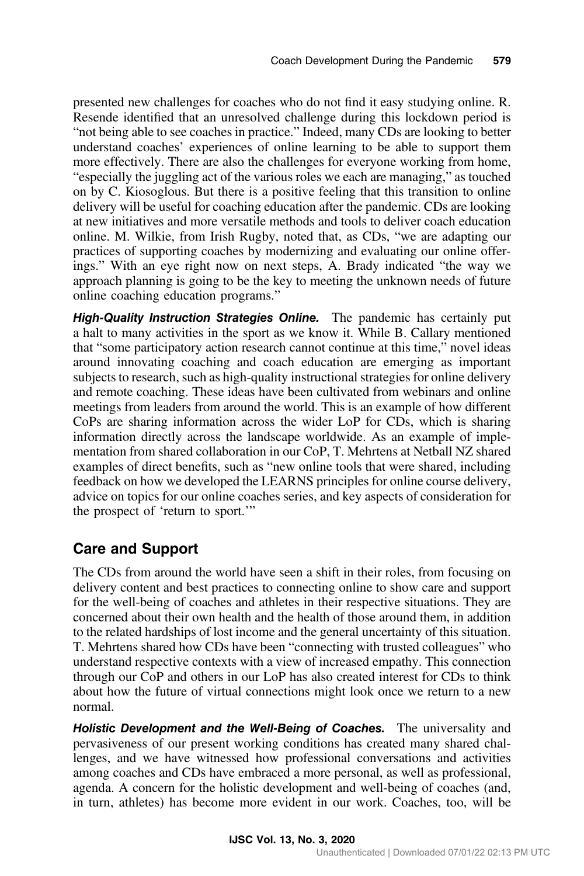presented new challenges for coaches who do not find it easy studying online. R. Resende identified that an unresolved challenge during this lockdown period is "not being able to see coaches in practice." Indeed, many CDs are looking to better understand coaches' experiences of online learning to be able to support them more effectively. There are also the challenges for everyone working from home, "especially the juggling act of the various roles we each are managing," as touched on by C. Kiosoglous. But there is a positive feeling that this transition to online delivery will be useful for coaching education after the pandemic. CDs are looking at new initiatives and more versatile methods and tools to deliver coach education online. M. Wilkie, from Irish Rugby, noted that, as CDs, "we are adapting our practices of supporting coaches by modernizing and evaluating our online offerings." With an eye right now on next steps, A. Brady indicated "the way we approach planning is going to be the key to meeting the unknown needs of future online coaching education programs."

High-Quality Instruction Strategies Online. The pandemic has certainly put a halt to many activities in the sport as we know it. While B. Callary mentioned that "some participatory action research cannot continue at this time," novel ideas around innovating coaching and coach education are emerging as important subjects to research, such as high-quality instructional strategies for online delivery and remote coaching. These ideas have been cultivated from webinars and online meetings from leaders from around the world. This is an example of how different CoPs are sharing information across the wider LoP for CDs, which is sharing information directly across the landscape worldwide. As an example of implementation from shared collaboration in our CoP, T. Mehrtens at Netball NZ shared examples of direct benefits, such as "new online tools that were shared, including feedback on how we developed the LEARNS principles for online course delivery, advice on topics for our online coaches series, and key aspects of consideration for the prospect of 'return to sport.'"

#### Care and Support

The CDs from around the world have seen a shift in their roles, from focusing on delivery content and best practices to connecting online to show care and support for the well-being of coaches and athletes in their respective situations. They are concerned about their own health and the health of those around them, in addition to the related hardships of lost income and the general uncertainty of this situation. T. Mehrtens shared how CDs have been "connecting with trusted colleagues" who understand respective contexts with a view of increased empathy. This connection through our CoP and others in our LoP has also created interest for CDs to think about how the future of virtual connections might look once we return to a new normal.

Holistic Development and the Well-Being of Coaches. The universality and pervasiveness of our present working conditions has created many shared challenges, and we have witnessed how professional conversations and activities among coaches and CDs have embraced a more personal, as well as professional, agenda. A concern for the holistic development and well-being of coaches (and, in turn, athletes) has become more evident in our work. Coaches, too, will be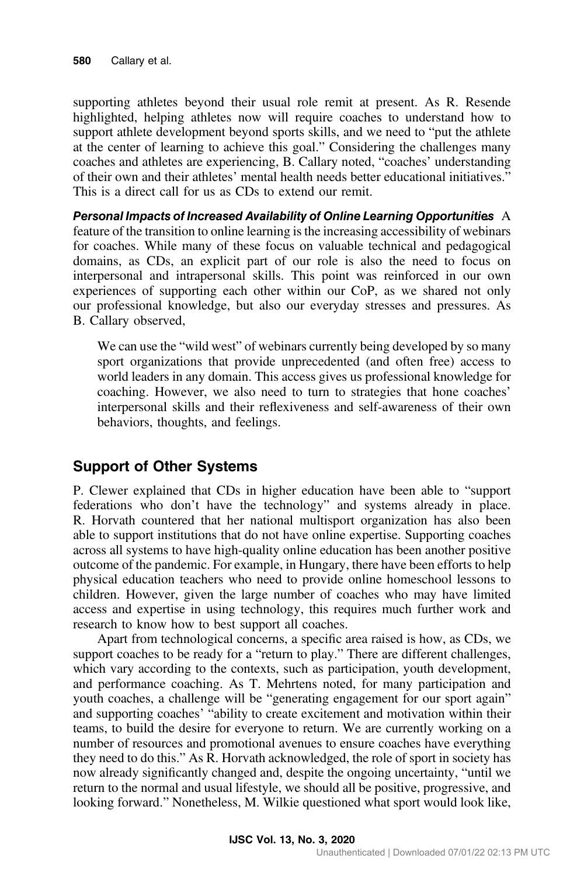supporting athletes beyond their usual role remit at present. As R. Resende highlighted, helping athletes now will require coaches to understand how to support athlete development beyond sports skills, and we need to "put the athlete at the center of learning to achieve this goal." Considering the challenges many coaches and athletes are experiencing, B. Callary noted, "coaches' understanding of their own and their athletes' mental health needs better educational initiatives." This is a direct call for us as CDs to extend our remit.

Personal Impacts of Increased Availability of Online Learning Opportunities A feature of the transition to online learning is the increasing accessibility of webinars for coaches. While many of these focus on valuable technical and pedagogical domains, as CDs, an explicit part of our role is also the need to focus on interpersonal and intrapersonal skills. This point was reinforced in our own experiences of supporting each other within our CoP, as we shared not only our professional knowledge, but also our everyday stresses and pressures. As B. Callary observed,

We can use the "wild west" of webinars currently being developed by so many sport organizations that provide unprecedented (and often free) access to world leaders in any domain. This access gives us professional knowledge for coaching. However, we also need to turn to strategies that hone coaches' interpersonal skills and their reflexiveness and self-awareness of their own behaviors, thoughts, and feelings.

#### Support of Other Systems

P. Clewer explained that CDs in higher education have been able to "support federations who don't have the technology" and systems already in place. R. Horvath countered that her national multisport organization has also been able to support institutions that do not have online expertise. Supporting coaches across all systems to have high-quality online education has been another positive outcome of the pandemic. For example, in Hungary, there have been efforts to help physical education teachers who need to provide online homeschool lessons to children. However, given the large number of coaches who may have limited access and expertise in using technology, this requires much further work and research to know how to best support all coaches.

Apart from technological concerns, a specific area raised is how, as CDs, we support coaches to be ready for a "return to play." There are different challenges, which vary according to the contexts, such as participation, youth development, and performance coaching. As T. Mehrtens noted, for many participation and youth coaches, a challenge will be "generating engagement for our sport again" and supporting coaches' "ability to create excitement and motivation within their teams, to build the desire for everyone to return. We are currently working on a number of resources and promotional avenues to ensure coaches have everything they need to do this." As R. Horvath acknowledged, the role of sport in society has now already significantly changed and, despite the ongoing uncertainty, "until we return to the normal and usual lifestyle, we should all be positive, progressive, and looking forward." Nonetheless, M. Wilkie questioned what sport would look like,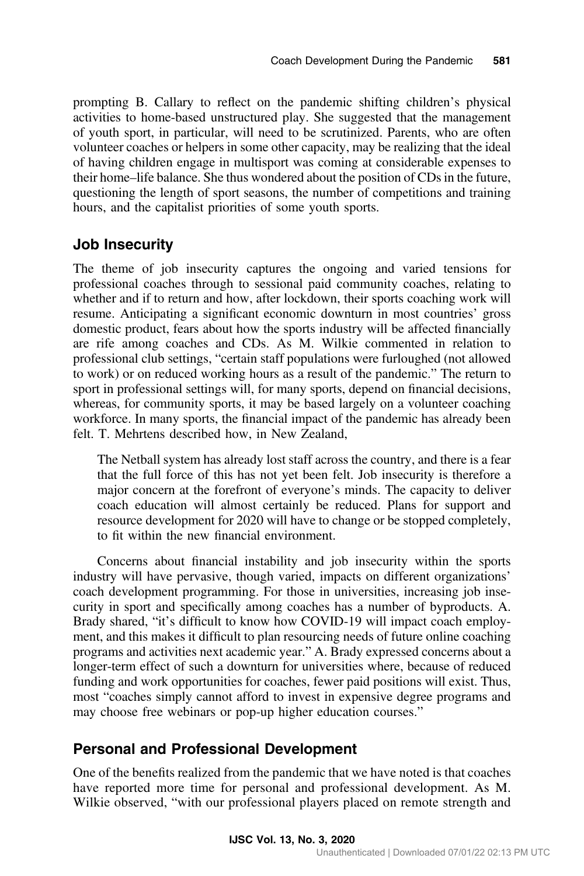prompting B. Callary to reflect on the pandemic shifting children's physical activities to home-based unstructured play. She suggested that the management of youth sport, in particular, will need to be scrutinized. Parents, who are often volunteer coaches or helpers in some other capacity, may be realizing that the ideal of having children engage in multisport was coming at considerable expenses to their home–life balance. She thus wondered about the position of CDs in the future, questioning the length of sport seasons, the number of competitions and training hours, and the capitalist priorities of some youth sports.

#### Job Insecurity

The theme of job insecurity captures the ongoing and varied tensions for professional coaches through to sessional paid community coaches, relating to whether and if to return and how, after lockdown, their sports coaching work will resume. Anticipating a significant economic downturn in most countries' gross domestic product, fears about how the sports industry will be affected financially are rife among coaches and CDs. As M. Wilkie commented in relation to professional club settings, "certain staff populations were furloughed (not allowed to work) or on reduced working hours as a result of the pandemic." The return to sport in professional settings will, for many sports, depend on financial decisions, whereas, for community sports, it may be based largely on a volunteer coaching workforce. In many sports, the financial impact of the pandemic has already been felt. T. Mehrtens described how, in New Zealand,

The Netball system has already lost staff across the country, and there is a fear that the full force of this has not yet been felt. Job insecurity is therefore a major concern at the forefront of everyone's minds. The capacity to deliver coach education will almost certainly be reduced. Plans for support and resource development for 2020 will have to change or be stopped completely, to fit within the new financial environment.

Concerns about financial instability and job insecurity within the sports industry will have pervasive, though varied, impacts on different organizations' coach development programming. For those in universities, increasing job insecurity in sport and specifically among coaches has a number of byproducts. A. Brady shared, "it's difficult to know how COVID-19 will impact coach employment, and this makes it difficult to plan resourcing needs of future online coaching programs and activities next academic year." A. Brady expressed concerns about a longer-term effect of such a downturn for universities where, because of reduced funding and work opportunities for coaches, fewer paid positions will exist. Thus, most "coaches simply cannot afford to invest in expensive degree programs and may choose free webinars or pop-up higher education courses."

#### Personal and Professional Development

One of the benefits realized from the pandemic that we have noted is that coaches have reported more time for personal and professional development. As M. Wilkie observed, "with our professional players placed on remote strength and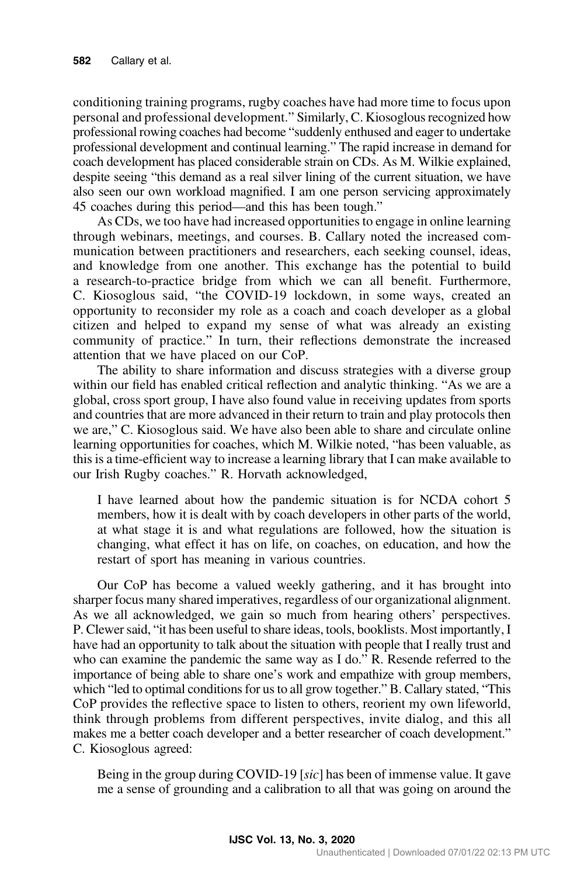conditioning training programs, rugby coaches have had more time to focus upon personal and professional development." Similarly, C. Kiosoglous recognized how professional rowing coaches had become "suddenly enthused and eager to undertake professional development and continual learning." The rapid increase in demand for coach development has placed considerable strain on CDs. As M. Wilkie explained, despite seeing "this demand as a real silver lining of the current situation, we have also seen our own workload magnified. I am one person servicing approximately 45 coaches during this period—and this has been tough."

As CDs, we too have had increased opportunities to engage in online learning through webinars, meetings, and courses. B. Callary noted the increased communication between practitioners and researchers, each seeking counsel, ideas, and knowledge from one another. This exchange has the potential to build a research-to-practice bridge from which we can all benefit. Furthermore, C. Kiosoglous said, "the COVID-19 lockdown, in some ways, created an opportunity to reconsider my role as a coach and coach developer as a global citizen and helped to expand my sense of what was already an existing community of practice." In turn, their reflections demonstrate the increased attention that we have placed on our CoP.

The ability to share information and discuss strategies with a diverse group within our field has enabled critical reflection and analytic thinking. "As we are a global, cross sport group, I have also found value in receiving updates from sports and countries that are more advanced in their return to train and play protocols then we are," C. Kiosoglous said. We have also been able to share and circulate online learning opportunities for coaches, which M. Wilkie noted, "has been valuable, as this is a time-efficient way to increase a learning library that I can make available to our Irish Rugby coaches." R. Horvath acknowledged,

I have learned about how the pandemic situation is for NCDA cohort 5 members, how it is dealt with by coach developers in other parts of the world, at what stage it is and what regulations are followed, how the situation is changing, what effect it has on life, on coaches, on education, and how the restart of sport has meaning in various countries.

Our CoP has become a valued weekly gathering, and it has brought into sharper focus many shared imperatives, regardless of our organizational alignment. As we all acknowledged, we gain so much from hearing others' perspectives. P. Clewer said, "it has been useful to share ideas, tools, booklists. Most importantly, I have had an opportunity to talk about the situation with people that I really trust and who can examine the pandemic the same way as I do." R. Resende referred to the importance of being able to share one's work and empathize with group members, which "led to optimal conditions for us to all grow together." B. Callary stated, "This CoP provides the reflective space to listen to others, reorient my own lifeworld, think through problems from different perspectives, invite dialog, and this all makes me a better coach developer and a better researcher of coach development." C. Kiosoglous agreed:

Being in the group during COVID-19 [sic] has been of immense value. It gave me a sense of grounding and a calibration to all that was going on around the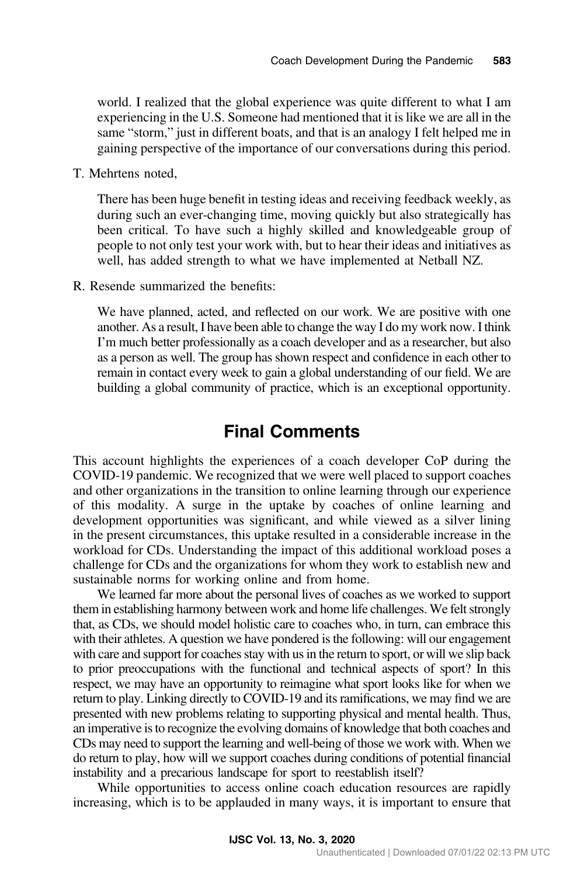world. I realized that the global experience was quite different to what I am experiencing in the U.S. Someone had mentioned that it is like we are all in the same "storm," just in different boats, and that is an analogy I felt helped me in gaining perspective of the importance of our conversations during this period.

T. Mehrtens noted,

There has been huge benefit in testing ideas and receiving feedback weekly, as during such an ever-changing time, moving quickly but also strategically has been critical. To have such a highly skilled and knowledgeable group of people to not only test your work with, but to hear their ideas and initiatives as well, has added strength to what we have implemented at Netball NZ.

R. Resende summarized the benefits:

We have planned, acted, and reflected on our work. We are positive with one another. As a result, I have been able to change the way I do my work now. I think I'm much better professionally as a coach developer and as a researcher, but also as a person as well. The group has shown respect and confidence in each other to remain in contact every week to gain a global understanding of our field. We are building a global community of practice, which is an exceptional opportunity.

### Final Comments

This account highlights the experiences of a coach developer CoP during the COVID-19 pandemic. We recognized that we were well placed to support coaches and other organizations in the transition to online learning through our experience of this modality. A surge in the uptake by coaches of online learning and development opportunities was significant, and while viewed as a silver lining in the present circumstances, this uptake resulted in a considerable increase in the workload for CDs. Understanding the impact of this additional workload poses a challenge for CDs and the organizations for whom they work to establish new and sustainable norms for working online and from home.

We learned far more about the personal lives of coaches as we worked to support them in establishing harmony between work and home life challenges. We felt strongly that, as CDs, we should model holistic care to coaches who, in turn, can embrace this with their athletes. A question we have pondered is the following: will our engagement with care and support for coaches stay with us in the return to sport, or will we slip back to prior preoccupations with the functional and technical aspects of sport? In this respect, we may have an opportunity to reimagine what sport looks like for when we return to play. Linking directly to COVID-19 and its ramifications, we may find we are presented with new problems relating to supporting physical and mental health. Thus, an imperative is to recognize the evolving domains of knowledge that both coaches and CDs may need to support the learning and well-being of those we work with. When we do return to play, how will we support coaches during conditions of potential financial instability and a precarious landscape for sport to reestablish itself?

While opportunities to access online coach education resources are rapidly increasing, which is to be applauded in many ways, it is important to ensure that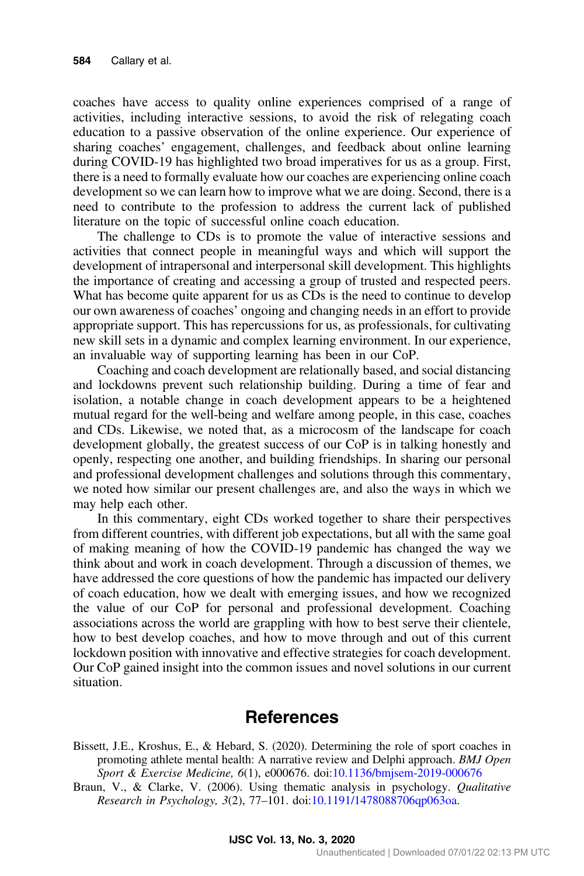<span id="page-9-0"></span>coaches have access to quality online experiences comprised of a range of activities, including interactive sessions, to avoid the risk of relegating coach education to a passive observation of the online experience. Our experience of sharing coaches' engagement, challenges, and feedback about online learning during COVID-19 has highlighted two broad imperatives for us as a group. First, there is a need to formally evaluate how our coaches are experiencing online coach development so we can learn how to improve what we are doing. Second, there is a need to contribute to the profession to address the current lack of published literature on the topic of successful online coach education.

The challenge to CDs is to promote the value of interactive sessions and activities that connect people in meaningful ways and which will support the development of intrapersonal and interpersonal skill development. This highlights the importance of creating and accessing a group of trusted and respected peers. What has become quite apparent for us as CDs is the need to continue to develop our own awareness of coaches' ongoing and changing needs in an effort to provide appropriate support. This has repercussions for us, as professionals, for cultivating new skill sets in a dynamic and complex learning environment. In our experience, an invaluable way of supporting learning has been in our CoP.

Coaching and coach development are relationally based, and social distancing and lockdowns prevent such relationship building. During a time of fear and isolation, a notable change in coach development appears to be a heightened mutual regard for the well-being and welfare among people, in this case, coaches and CDs. Likewise, we noted that, as a microcosm of the landscape for coach development globally, the greatest success of our CoP is in talking honestly and openly, respecting one another, and building friendships. In sharing our personal and professional development challenges and solutions through this commentary, we noted how similar our present challenges are, and also the ways in which we may help each other.

In this commentary, eight CDs worked together to share their perspectives from different countries, with different job expectations, but all with the same goal of making meaning of how the COVID-19 pandemic has changed the way we think about and work in coach development. Through a discussion of themes, we have addressed the core questions of how the pandemic has impacted our delivery of coach education, how we dealt with emerging issues, and how we recognized the value of our CoP for personal and professional development. Coaching associations across the world are grappling with how to best serve their clientele, how to best develop coaches, and how to move through and out of this current lockdown position with innovative and effective strategies for coach development. Our CoP gained insight into the common issues and novel solutions in our current situation.

#### References

Bissett, J.E., Kroshus, E., & Hebard, S. (2020). Determining the role of sport coaches in promoting athlete mental health: A narrative review and Delphi approach. BMJ Open Sport & Exercise Medicine, 6(1), e000676. doi:[10.1136/bmjsem-2019-000676](https://doi.org/10.1136/bmjsem-2019-000676)

Braun, V., & Clarke, V. (2006). Using thematic analysis in psychology. Qualitative Research in Psychology, 3(2), 77–101. doi[:10.1191/1478088706qp063oa.](https://doi.org/10.1191/1478088706qp063oa)